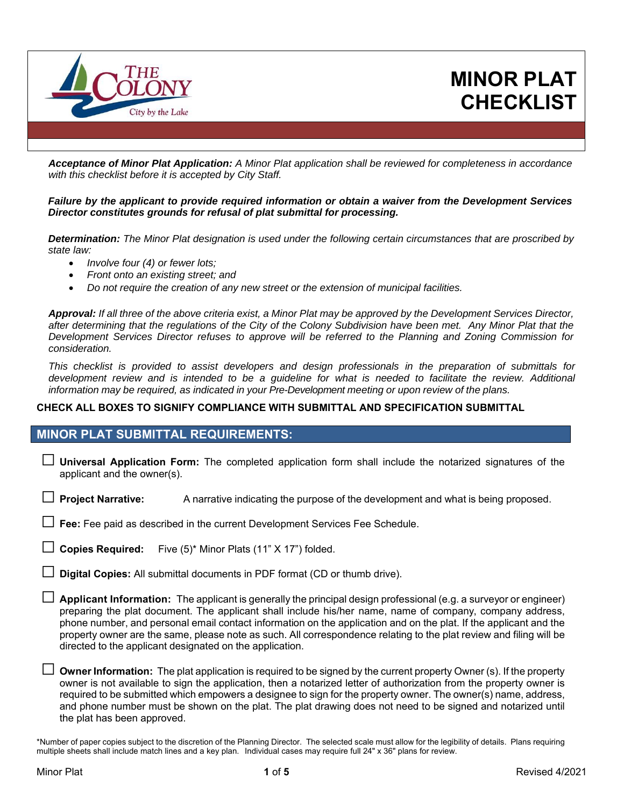

*Acceptance of Minor Plat Application: A Minor Plat application shall be reviewed for completeness in accordance with this checklist before it is accepted by City Staff.* 

*Failure by the applicant to provide required information or obtain a waiver from the Development Services Director constitutes grounds for refusal of plat submittal for processing.* 

*Determination: The Minor Plat designation is used under the following certain circumstances that are proscribed by state law:* 

- *Involve four (4) or fewer lots;*
- *Front onto an existing street; and*
- *Do not require the creation of any new street or the extension of municipal facilities.*

*Approval: If all three of the above criteria exist, a Minor Plat may be approved by the Development Services Director, after determining that the regulations of the City of the Colony Subdivision have been met. Any Minor Plat that the Development Services Director refuses to approve will be referred to the Planning and Zoning Commission for consideration.* 

*This checklist is provided to assist developers and design professionals in the preparation of submittals for development review and is intended to be a guideline for what is needed to facilitate the review. Additional information may be required, as indicated in your Pre-Development meeting or upon review of the plans.* 

#### **CHECK ALL BOXES TO SIGNIFY COMPLIANCE WITH SUBMITTAL AND SPECIFICATION SUBMITTAL**

#### **MINOR PLAT SUBMITTAL REQUIREMENTS:**

- □ **Universal Application Form:** The completed application form shall include the notarized signatures of the applicant and the owner(s).
- □ **Project Narrative:** A narrative indicating the purpose of the development and what is being proposed.
- □ **Fee:** Fee paid as described in the current Development Services Fee Schedule.
- Copies Required: Five (5)<sup>\*</sup> Minor Plats (11" X 17") folded.
- **Digital Copies:** All submittal documents in PDF format (CD or thumb drive).
- □ **Applicant Information:** The applicant is generally the principal design professional (e.g. a surveyor or engineer) preparing the plat document. The applicant shall include his/her name, name of company, company address, phone number, and personal email contact information on the application and on the plat. If the applicant and the property owner are the same, please note as such. All correspondence relating to the plat review and filing will be directed to the applicant designated on the application.
- □ **Owner Information:** The plat application is required to be signed by the current property Owner (s). If the property owner is not available to sign the application, then a notarized letter of authorization from the property owner is required to be submitted which empowers a designee to sign for the property owner. The owner(s) name, address, and phone number must be shown on the plat. The plat drawing does not need to be signed and notarized until the plat has been approved.

\*Number of paper copies subject to the discretion of the Planning Director. The selected scale must allow for the legibility of details. Plans requiring multiple sheets shall include match lines and a key plan. Individual cases may require full 24" x 36" plans for review.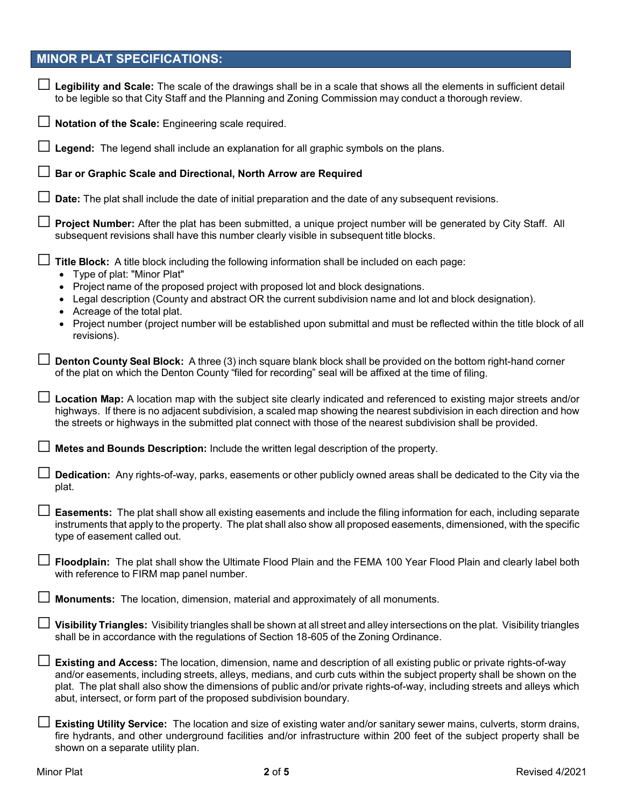# **MINOR PLAT SPECIFICATIONS:**

| $\Box$ Legibility and Scale: The scale of the drawings shall be in a scale that shows all the elements in sufficient detail<br>to be legible so that City Staff and the Planning and Zoning Commission may conduct a thorough review.                                                                                                                                                                                                                                                                    |
|----------------------------------------------------------------------------------------------------------------------------------------------------------------------------------------------------------------------------------------------------------------------------------------------------------------------------------------------------------------------------------------------------------------------------------------------------------------------------------------------------------|
| Notation of the Scale: Engineering scale required.                                                                                                                                                                                                                                                                                                                                                                                                                                                       |
| Legend: The legend shall include an explanation for all graphic symbols on the plans.                                                                                                                                                                                                                                                                                                                                                                                                                    |
| Bar or Graphic Scale and Directional, North Arrow are Required                                                                                                                                                                                                                                                                                                                                                                                                                                           |
| Date: The plat shall include the date of initial preparation and the date of any subsequent revisions.                                                                                                                                                                                                                                                                                                                                                                                                   |
| Project Number: After the plat has been submitted, a unique project number will be generated by City Staff. All<br>subsequent revisions shall have this number clearly visible in subsequent title blocks.                                                                                                                                                                                                                                                                                               |
| Title Block: A title block including the following information shall be included on each page:<br>• Type of plat: "Minor Plat"<br>• Project name of the proposed project with proposed lot and block designations.<br>• Legal description (County and abstract OR the current subdivision name and lot and block designation).<br>• Acreage of the total plat.<br>• Project number (project number will be established upon submittal and must be reflected within the title block of all<br>revisions). |
| <b>Denton County Seal Block:</b> A three (3) inch square blank block shall be provided on the bottom right-hand corner<br>of the plat on which the Denton County "filed for recording" seal will be affixed at the time of filing.                                                                                                                                                                                                                                                                       |
| □ Location Map: A location map with the subject site clearly indicated and referenced to existing major streets and/or<br>highways. If there is no adjacent subdivision, a scaled map showing the nearest subdivision in each direction and how<br>the streets or highways in the submitted plat connect with those of the nearest subdivision shall be provided.                                                                                                                                        |
| Metes and Bounds Description: Include the written legal description of the property.                                                                                                                                                                                                                                                                                                                                                                                                                     |
| Dedication: Any rights-of-way, parks, easements or other publicly owned areas shall be dedicated to the City via the<br>plat.                                                                                                                                                                                                                                                                                                                                                                            |
| Easements: The plat shall show all existing easements and include the filing information for each, including separate<br>instruments that apply to the property. The plat shall also show all proposed easements, dimensioned, with the specific<br>type of easement called out.                                                                                                                                                                                                                         |
| Floodplain: The plat shall show the Ultimate Flood Plain and the FEMA 100 Year Flood Plain and clearly label both<br>with reference to FIRM map panel number.                                                                                                                                                                                                                                                                                                                                            |
| <b>Monuments:</b> The location, dimension, material and approximately of all monuments.                                                                                                                                                                                                                                                                                                                                                                                                                  |
| □ Visibility Triangles: $\vee$ isibility triangles shall be shown at all street and alley intersections on the plat. Visibility triangles<br>shall be in accordance with the regulations of Section 18-605 of the Zoning Ordinance.                                                                                                                                                                                                                                                                      |
| <b>Existing and Access:</b> The location, dimension, name and description of all existing public or private rights-of-way<br>and/or easements, including streets, alleys, medians, and curb cuts within the subject property shall be shown on the<br>plat. The plat shall also show the dimensions of public and/or private rights-of-way, including streets and alleys which<br>abut, intersect, or form part of the proposed subdivision boundary.                                                    |
| Existing Utility Service: The location and size of existing water and/or sanitary sewer mains, culverts, storm drains,<br>fire hydrants, and other underground facilities and/or infrastructure within 200 feet of the subject property shall be<br>shown on a separate utility plan.                                                                                                                                                                                                                    |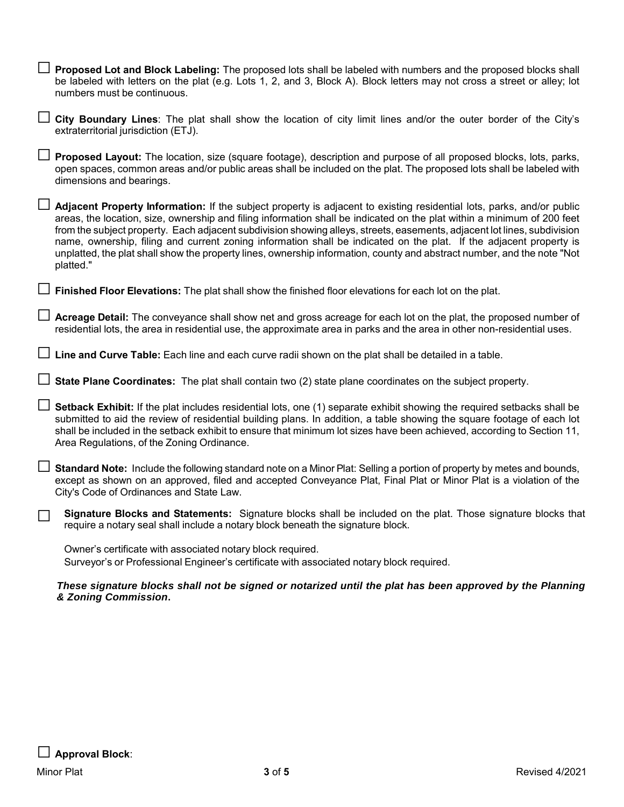| □ Proposed Lot and Block Labeling: The proposed lots shall be labeled with numbers and the proposed blocks shall<br>be labeled with letters on the plat (e.g. Lots 1, 2, and 3, Block A). Block letters may not cross a street or alley; lot<br>numbers must be continuous.                                                                                                                                                                                                                                                                                                                                                                |
|--------------------------------------------------------------------------------------------------------------------------------------------------------------------------------------------------------------------------------------------------------------------------------------------------------------------------------------------------------------------------------------------------------------------------------------------------------------------------------------------------------------------------------------------------------------------------------------------------------------------------------------------|
| □ City Boundary Lines: The plat shall show the location of city limit lines and/or the outer border of the City's<br>extraterritorial jurisdiction (ETJ).                                                                                                                                                                                                                                                                                                                                                                                                                                                                                  |
| Proposed Layout: The location, size (square footage), description and purpose of all proposed blocks, lots, parks,<br>open spaces, common areas and/or public areas shall be included on the plat. The proposed lots shall be labeled with<br>dimensions and bearings.                                                                                                                                                                                                                                                                                                                                                                     |
| Adjacent Property Information: If the subject property is adjacent to existing residential lots, parks, and/or public<br>areas, the location, size, ownership and filing information shall be indicated on the plat within a minimum of 200 feet<br>from the subject property. Each adjacent subdivision showing alleys, streets, easements, adjacent lot lines, subdivision<br>name, ownership, filing and current zoning information shall be indicated on the plat. If the adjacent property is<br>unplatted, the plat shall show the property lines, ownership information, county and abstract number, and the note "Not<br>platted." |
| Finished Floor Elevations: The plat shall show the finished floor elevations for each lot on the plat.                                                                                                                                                                                                                                                                                                                                                                                                                                                                                                                                     |
| Acreage Detail: The conveyance shall show net and gross acreage for each lot on the plat, the proposed number of<br>residential lots, the area in residential use, the approximate area in parks and the area in other non-residential uses.                                                                                                                                                                                                                                                                                                                                                                                               |
| Line and Curve Table: Each line and each curve radii shown on the plat shall be detailed in a table.                                                                                                                                                                                                                                                                                                                                                                                                                                                                                                                                       |
| $\Box$ State Plane Coordinates: The plat shall contain two (2) state plane coordinates on the subject property.                                                                                                                                                                                                                                                                                                                                                                                                                                                                                                                            |
| Setback Exhibit: If the plat includes residential lots, one (1) separate exhibit showing the required setbacks shall be<br>submitted to aid the review of residential building plans. In addition, a table showing the square footage of each lot<br>shall be included in the setback exhibit to ensure that minimum lot sizes have been achieved, according to Section 11,<br>Area Regulations, of the Zoning Ordinance.                                                                                                                                                                                                                  |
| <b>Standard Note:</b> Include the following standard note on a Minor Plat: Selling a portion of property by metes and bounds,<br>except as shown on an approved, filed and accepted Conveyance Plat, Final Plat or Minor Plat is a violation of the<br>City's Code of Ordinances and State Law.                                                                                                                                                                                                                                                                                                                                            |
| Signature Blocks and Statements: Signature blocks shall be included on the plat. Those signature blocks that<br>require a notary seal shall include a notary block beneath the signature block.                                                                                                                                                                                                                                                                                                                                                                                                                                            |
| Owner's certificate with associated notary block required.<br>Surveyor's or Professional Engineer's certificate with associated notary block required.                                                                                                                                                                                                                                                                                                                                                                                                                                                                                     |
| These signature blocks shall not be signed or notarized until the plat has been approved by the Planning<br>& Zoning Commission.                                                                                                                                                                                                                                                                                                                                                                                                                                                                                                           |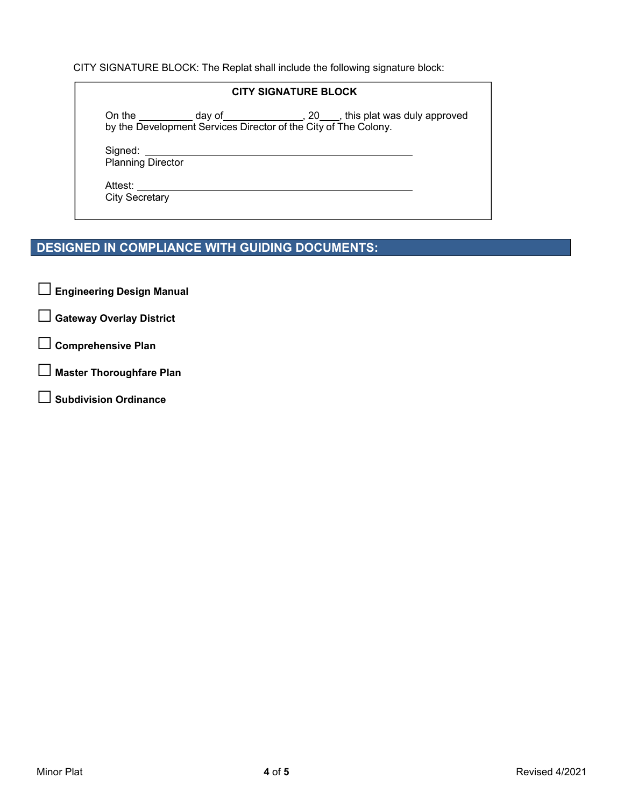CITY SIGNATURE BLOCK: The Replat shall include the following signature block:

#### **CITY SIGNATURE BLOCK**

On the  $\_\_\_\_\_$  day of  $\_\_\_\_\_\_$ , 20  $\_\_\_\_$ , this plat was duly approved by the Development Services Director of the City of The Colony.

Signed:

Planning Director

Attest:

City Secretary

## **DESIGNED IN COMPLIANCE WITH GUIDING DOCUMENTS:**

□ **Engineering Design Manual** 

- □ **Gateway Overlay District**
- □ **Comprehensive Plan**
- □ **Master Thoroughfare Plan**
- □ **Subdivision Ordinance**